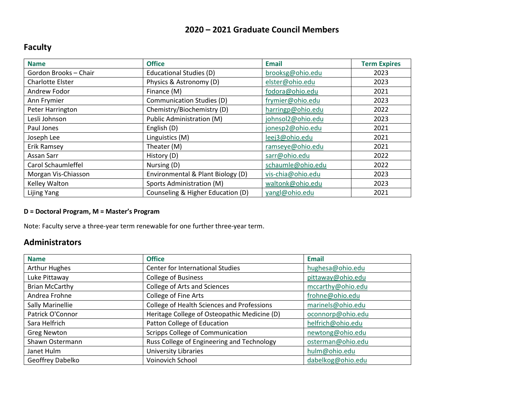#### **2020 – 2021 Graduate Council Members**

## **Faculty**

| <b>Name</b>         | <b>Office</b>                     | <b>Email</b>      | <b>Term Expires</b> |
|---------------------|-----------------------------------|-------------------|---------------------|
| Gordon Brooks-Chair | Educational Studies (D)           | brooksg@ohio.edu  | 2023                |
| Charlotte Elster    | Physics & Astronomy (D)           | elster@ohio.edu   | 2023                |
| Andrew Fodor        | Finance (M)                       | fodora@ohio.edu   | 2021                |
| Ann Frymier         | Communication Studies (D)         | frymier@ohio.edu  | 2023                |
| Peter Harrington    | Chemistry/Biochemistry (D)        | harringp@ohio.edu | 2022                |
| Lesli Johnson       | Public Administration (M)         | johnsol2@ohio.edu | 2023                |
| Paul Jones          | English (D)                       | jonesp2@ohio.edu  | 2021                |
| Joseph Lee          | Linguistics (M)                   | leej3@ohio.edu    | 2021                |
| Erik Ramsey         | Theater (M)                       | ramseye@ohio.edu  | 2021                |
| Assan Sarr          | History (D)                       | sarr@ohio.edu     | 2022                |
| Carol Schaumleffel  | Nursing (D)                       | schaumle@ohio.edu | 2022                |
| Morgan Vis-Chiasson | Environmental & Plant Biology (D) | vis-chia@ohio.edu | 2023                |
| Kelley Walton       | Sports Administration (M)         | waltonk@ohio.edu  | 2023                |
| Lijing Yang         | Counseling & Higher Education (D) | yangl@ohio.edu    | 2021                |

#### **D = Doctoral Program, M = Master's Program**

Note: Faculty serve a three-year term renewable for one further three-year term.

#### **Administrators**

| <b>Name</b>           | <b>Office</b>                                | <b>Email</b>      |
|-----------------------|----------------------------------------------|-------------------|
| <b>Arthur Hughes</b>  | Center for International Studies             | hughesa@ohio.edu  |
| Luke Pittaway         | <b>College of Business</b>                   | pittaway@ohio.edu |
| <b>Brian McCarthy</b> | <b>College of Arts and Sciences</b>          | mccarthy@ohio.edu |
| Andrea Frohne         | College of Fine Arts                         | frohne@ohio.edu   |
| Sally Marinellie      | College of Health Sciences and Professions   | marinels@ohio.edu |
| Patrick O'Connor      | Heritage College of Osteopathic Medicine (D) | oconnorp@ohio.edu |
| Sara Helfrich         | Patton College of Education                  | helfrich@ohio.edu |
| <b>Greg Newton</b>    | Scripps College of Communication             | newtong@ohio.edu  |
| Shawn Ostermann       | Russ College of Engineering and Technology   | osterman@ohio.edu |
| Janet Hulm            | University Libraries                         | hulm@ohio.edu     |
| Geoffrey Dabelko      | Voinovich School                             | dabelkog@ohio.edu |